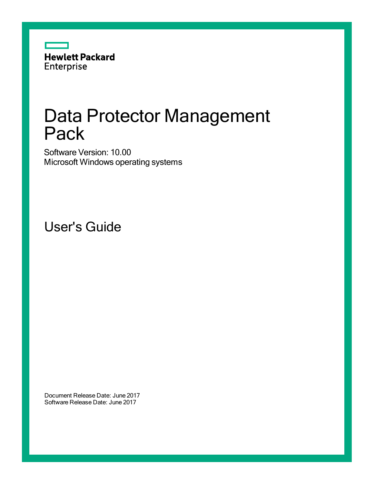

# Data Protector Management Pack

Software Version: 10.00 Microsoft Windows operating systems

User's Guide

Document Release Date: June 2017 Software Release Date: June 2017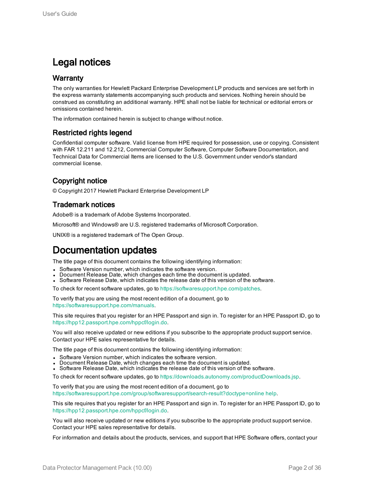### Legal notices

#### **Warranty**

The only warranties for Hewlett Packard Enterprise Development LP products and services are set forth in the express warranty statements accompanying such products and services. Nothing herein should be construed as constituting an additional warranty. HPE shall not be liable for technical or editorial errors or omissions contained herein.

The information contained herein is subject to change without notice.

#### Restricted rights legend

Confidential computer software. Valid license from HPE required for possession, use or copying. Consistent with FAR 12.211 and 12.212, Commercial Computer Software, Computer Software Documentation, and Technical Data for Commercial Items are licensed to the U.S. Government under vendor's standard commercial license.

#### Copyright notice

© Copyright 2017 Hewlett Packard Enterprise Development LP

#### Trademark notices

Adobe® is a trademark of Adobe Systems Incorporated.

Microsoft® and Windows® are U.S. registered trademarks of Microsoft Corporation.

UNIX® is a registered trademark of The Open Group.

### Documentation updates

The title page of this document contains the following identifying information:

- Software Version number, which indicates the software version.
- Document Release Date, which changes each time the document is updated.
- Software Release Date, which indicates the release date of this version of the software.
- To check for recent software updates, go to <https://softwaresupport.hpe.com/patches>.

To verify that you are using the most recent edition of a document, go to [https://softwaresupport.hpe.com/manuals.](https://softwaresupport.hpe.com/manuals)

This site requires that you register for an HPE Passport and sign in. To register for an HPE Passport ID, go to [https://hpp12.passport.hpe.com/hppcf/login.do.](https://hpp12.passport.hpe.com/hppcf/login.do)

You will also receive updated or new editions if you subscribe to the appropriate product support service. Contact your HPE sales representative for details.

The title page of this document contains the following identifying information:

- Software Version number, which indicates the software version.
- Document Release Date, which changes each time the document is updated.
- Software Release Date, which indicates the release date of this version of the software.

To check for recent software updates, go to [https://downloads.autonomy.com/productDownloads.jsp.](https://downloads.autonomy.com/productDownloads.jsp)

To verify that you are using the most recent edition of a document, go to [https://softwaresupport.hpe.com/group/softwaresupport/search-result?doctype=online](https://softwaresupport.hpe.com/group/softwaresupport/search-result?doctype=online help) help.

This site requires that you register for an HPE Passport and sign in. To register for an HPE Passport ID, go to [https://hpp12.passport.hpe.com/hppcf/login.do.](https://hpp12.passport.hpe.com/hppcf/login.do)

You will also receive updated or new editions if you subscribe to the appropriate product support service. Contact your HPE sales representative for details.

For information and details about the products, services, and support that HPE Software offers, contact your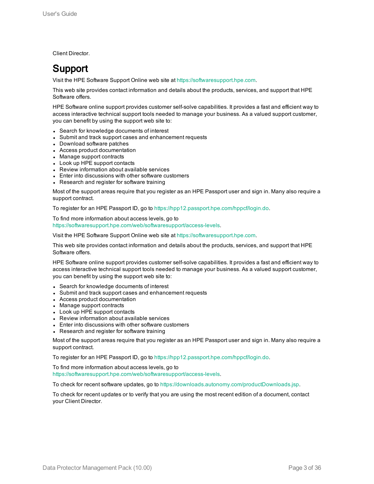Client Director.

### Support

Visit the HPE Software Support Online web site at [https://softwaresupport.hpe.com](https://softwaresupport.hpe.com/).

This web site provides contact information and details about the products, services, and support that HPE Software offers.

HPE Software online support provides customer self-solve capabilities. It provides a fast and efficient way to access interactive technical support tools needed to manage your business. As a valued support customer, you can benefit by using the support web site to:

- Search for knowledge documents of interest
- Submit and track support cases and enhancement requests
- Download software patches
- Access product documentation
- Manage support contracts
- Look up HPE support contacts
- Review information about available services
- Enter into discussions with other software customers
- Research and register for software training

Most of the support areas require that you register as an HPE Passport user and sign in. Many also require a support contract.

To register for an HPE Passport ID, go to <https://hpp12.passport.hpe.com/hppcf/login.do>.

To find more information about access levels, go to <https://softwaresupport.hpe.com/web/softwaresupport/access-levels>.

Visit the HPE Software Support Online web site at [https://softwaresupport.hpe.com](https://softwaresupport.hpe.com/).

This web site provides contact information and details about the products, services, and support that HPE Software offers.

HPE Software online support provides customer self-solve capabilities. It provides a fast and efficient way to access interactive technical support tools needed to manage your business. As a valued support customer, you can benefit by using the support web site to:

- Search for knowledge documents of interest
- Submit and track support cases and enhancement requests
- Access product documentation
- Manage support contracts
- Look up HPE support contacts
- Review information about available services
- Enter into discussions with other software customers
- Research and register for software training

Most of the support areas require that you register as an HPE Passport user and sign in. Many also require a support contract.

To register for an HPE Passport ID, go to <https://hpp12.passport.hpe.com/hppcf/login.do>.

To find more information about access levels, go to <https://softwaresupport.hpe.com/web/softwaresupport/access-levels>.

To check for recent software updates, go to [https://downloads.autonomy.com/productDownloads.jsp.](https://downloads.autonomy.com/productDownloads.jsp)

To check for recent updates or to verify that you are using the most recent edition of a document, contact your Client Director.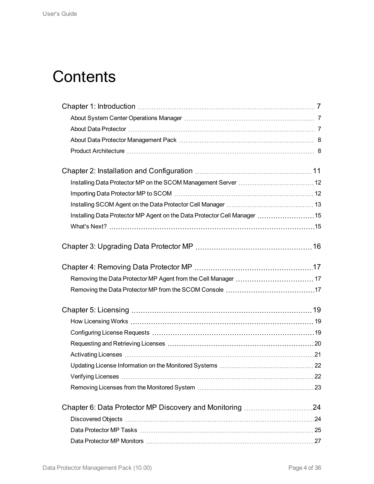# **Contents**

| Installing Data Protector MP Agent on the Data Protector Cell Manager 15 |  |
|--------------------------------------------------------------------------|--|
|                                                                          |  |
|                                                                          |  |
|                                                                          |  |
|                                                                          |  |
|                                                                          |  |
|                                                                          |  |
|                                                                          |  |
|                                                                          |  |
|                                                                          |  |
|                                                                          |  |
|                                                                          |  |
|                                                                          |  |
|                                                                          |  |
| Chapter 6: Data Protector MP Discovery and Monitoring 24                 |  |
|                                                                          |  |
|                                                                          |  |
|                                                                          |  |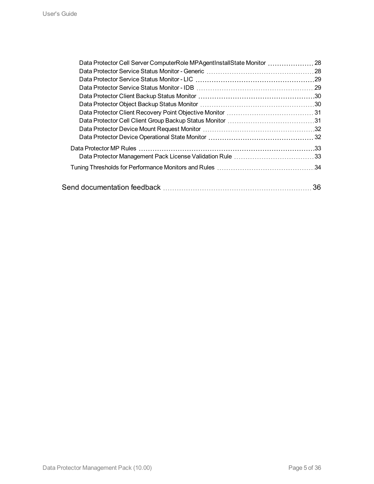| Data Protector Cell Server ComputerRole MPAgentInstallState Monitor | 28 |
|---------------------------------------------------------------------|----|
|                                                                     |    |
|                                                                     |    |
|                                                                     |    |
|                                                                     |    |
|                                                                     |    |
|                                                                     |    |
|                                                                     |    |
|                                                                     |    |
|                                                                     |    |
|                                                                     |    |
|                                                                     |    |
|                                                                     |    |
|                                                                     | 36 |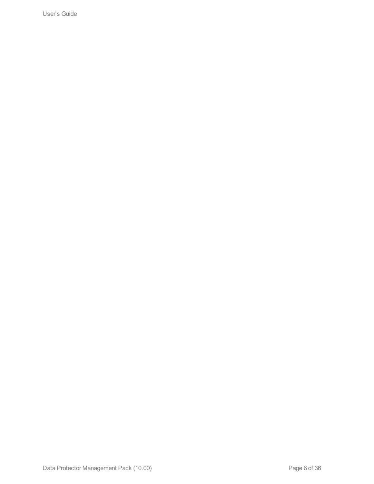User's Guide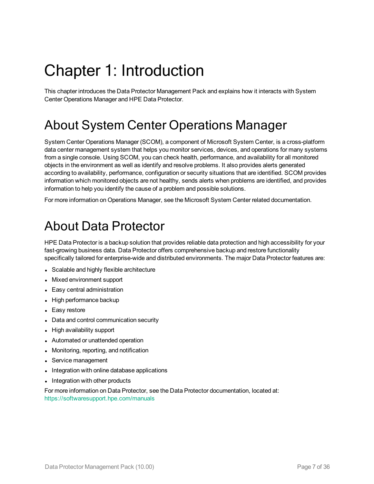# <span id="page-6-0"></span>Chapter 1: Introduction

This chapter introduces the Data Protector Management Pack and explains how it interacts with System Center Operations Manager and HPE Data Protector.

## <span id="page-6-1"></span>About System Center Operations Manager

System Center Operations Manager (SCOM), a component of Microsoft System Center, is a cross-platform data center management system that helps you monitor services, devices, and operations for many systems from a single console. Using SCOM, you can check health, performance, and availability for all monitored objects in the environment as well as identify and resolve problems. It also provides alerts generated according to availability, performance, configuration or security situations that are identified. SCOM provides information which monitored objects are not healthy, sends alerts when problems are identified, and provides information to help you identify the cause of a problem and possible solutions.

<span id="page-6-2"></span>For more information on Operations Manager, see the Microsoft System Center related documentation.

## About Data Protector

HPE Data Protector is a backup solution that provides reliable data protection and high accessibility for your fast-growing business data. Data Protector offers comprehensive backup and restore functionality specifically tailored for enterprise-wide and distributed environments. The major Data Protector features are:

- Scalable and highly flexible architecture
- Mixed environment support
- Easy central administration
- High performance backup
- Easy restore
- Data and control communication security
- High availability support
- Automated or unattended operation
- Monitoring, reporting, and notification
- Service management
- Integration with online database applications
- Integration with other products

For more information on Data Protector, see the Data Protector documentation, located at: <https://softwaresupport.hpe.com/manuals>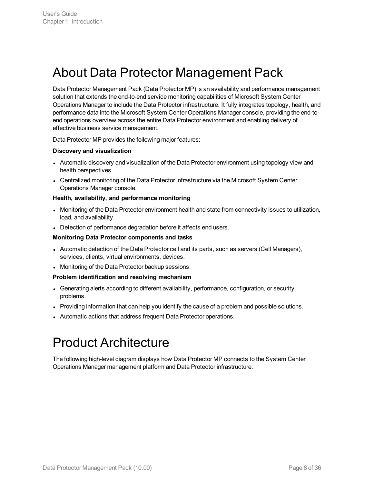## <span id="page-7-0"></span>About Data Protector Management Pack

Data Protector Management Pack (Data Protector MP) is an availability and performance management solution that extends the end-to-end service monitoring capabilities of Microsoft System Center Operations Manager to include the Data Protector infrastructure. It fully integrates topology, health, and performance data into the Microsoft System Center Operations Manager console, providing the end-toend operations overview across the entire Data Protector environment and enabling delivery of effective business service management.

Data Protector MP provides the following major features:

#### **Discovery and visualization**

- Automatic discovery and visualization of the Data Protector environment using topology view and health perspectives.
- Centralized monitoring of the Data Protector infrastructure via the Microsoft System Center Operations Manager console.

#### **Health, availability, and performance monitoring**

- Monitoring of the Data Protector environment health and state from connectivity issues to utilization, load, and availability.
- Detection of performance degradation before it affects end users.

#### **Monitoring Data Protector components and tasks**

- Automatic detection of the Data Protector cell and its parts, such as servers (Cell Managers), services, clients, virtual environments, devices.
- Monitoring of the Data Protector backup sessions.

#### **Problem identification and resolving mechanism**

- Generating alerts according to different availability, performance, configuration, or security problems.
- Providing information that can help you identify the cause of a problem and possible solutions.
- <span id="page-7-1"></span>• Automatic actions that address frequent Data Protector operations.

### Product Architecture

The following high-level diagram displays how Data Protector MP connects to the System Center Operations Manager management platform and Data Protector infrastructure.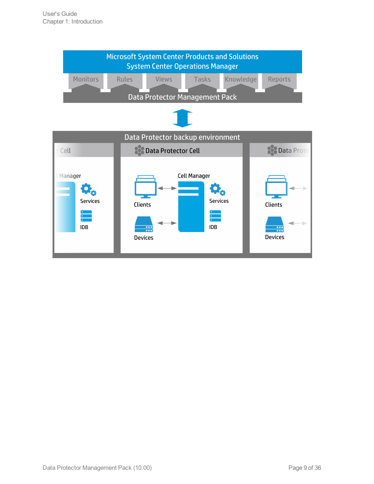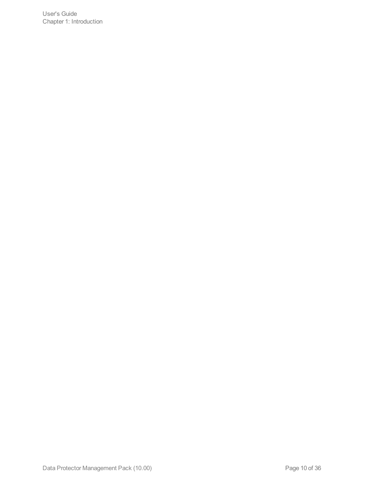User's Guide Chapter 1: Introduction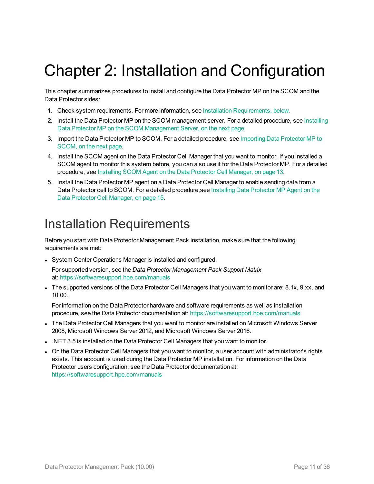# <span id="page-10-0"></span>Chapter 2: Installation and Configuration

This chapter summarizes procedures to install and configure the Data Protector MP on the SCOM and the Data Protector sides:

- 1. Check system requirements. For more information, see Installation [Requirements,](#page-10-1) below.
- 2. Install the Data Protector MP on the SCOM management server. For a detailed procedure, see [Installing](#page-11-0) Data Protector MP on the SCOM [Management](#page-11-0) Server, on the next page.
- 3. Import the Data Protector MP to SCOM. For a detailed procedure, see [Importing](#page-11-1) Data Protector MP to [SCOM,](#page-11-1) on the next page.
- 4. Install the SCOM agent on the Data Protector Cell Manager that you want to monitor. If you installed a SCOM agent to monitor this system before, you can also use it for the Data Protector MP. For a detailed procedure, see Installing SCOM Agent on the Data Protector Cell [Manager,](#page-12-0) on page 13.
- 5. Install the Data Protector MP agent on a Data Protector Cell Manager to enable sending data from a Data Protector cell to SCOM. For a detailed procedure,see Installing Data [Protector](#page-14-0) MP Agent on the Data Protector Cell [Manager,](#page-14-0) on page 15.

### <span id="page-10-1"></span>Installation Requirements

Before you start with Data Protector Management Pack installation, make sure that the following requirements are met:

• System Center Operations Manager is installed and configured.

For supported version, see the *Data Protector Management Pack Support Matrix* at:<https://softwaresupport.hpe.com/manuals>

The supported versions of the Data Protector Cell Managers that you want to monitor are: 8.1x, 9.xx, and 10.00.

For information on the Data Protector hardware and software requirements as well as installation procedure, see the Data Protector documentation at: <https://softwaresupport.hpe.com/manuals>

- The Data Protector Cell Managers that you want to monitor are installed on Microsoft Windows Server 2008, Microsoft Windows Server 2012, and Microsoft Windows Server 2016.
- . .NET 3.5 is installed on the Data Protector Cell Managers that you want to monitor.
- On the Data Protector Cell Managers that you want to monitor, a user account with administrator's rights exists. This account is used during the Data Protector MP installation. For information on the Data Protector users configuration, see the Data Protector documentation at: <https://softwaresupport.hpe.com/manuals>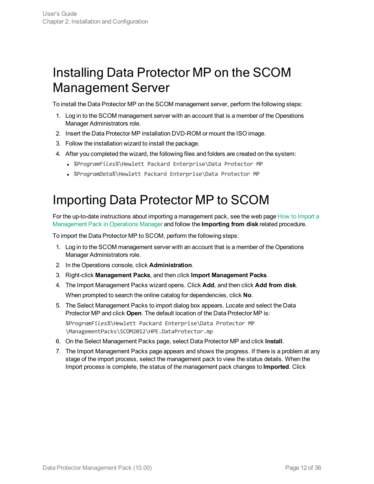## <span id="page-11-0"></span>Installing Data Protector MP on the SCOM Management Server

To install the Data Protector MP on the SCOM management server, perform the following steps:

- 1. Log in to the SCOM management server with an account that is a member of the Operations Manager Administrators role.
- 2. Insert the Data Protector MP installation DVD-ROM or mount the ISO image.
- 3. Follow the installation wizard to install the package.
- 4. After you completed the wizard, the following files and folders are created on the system:
	- <sup>l</sup> *%ProgramFiles%*\Hewlett Packard Enterprise\Data Protector MP
	- <sup>l</sup> *%ProgramData%*\Hewlett Packard Enterprise\Data Protector MP

### <span id="page-11-1"></span>Importing Data Protector MP to SCOM

For the up-to-date instructions about importing a management pack, see the web page How to [Import](http://technet.microsoft.com/en-us/library/hh212691.aspx) a [Management](http://technet.microsoft.com/en-us/library/hh212691.aspx) Pack in Operations Manager and follow the **Importing from disk** related procedure.

To import the Data Protector MP to SCOM, perform the following steps:

- 1. Log in to the SCOM management server with an account that is a member of the Operations Manager Administrators role.
- 2. In the Operations console, click **Administration**.
- 3. Right-click **Management Packs**, and then click **Import Management Packs**.
- 4. The Import Management Packs wizard opens. Click **Add**, and then click **Add from disk**. When prompted to search the online catalog for dependencies, click **No**.
- 5. The Select Management Packs to import dialog box appears. Locate and select the Data Protector MP and click **Open**. The default location of the Data Protector MP is:

*%ProgramFiles%*\Hewlett Packard Enterprise\Data Protector MP \ManagementPacks\SCOM2012\HPE.DataProtector.mp

- 6. On the Select Management Packs page, select Data Protector MP and click **Install**.
- 7. The Import Management Packs page appears and shows the progress. If there is a problem at any stage of the import process, select the management pack to view the status details. When the Import process is complete, the status of the management pack changes to **Imported**. Click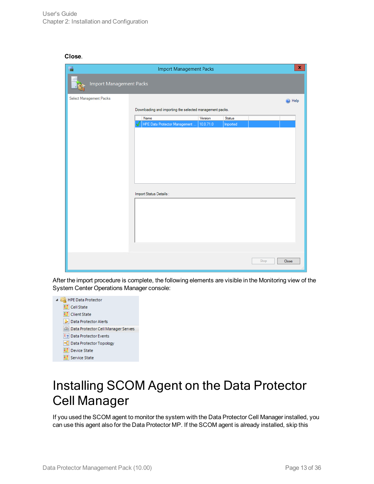| m.<br>٠<br>ł<br>×<br>×<br>۰.<br>۰,<br>×<br>۹ |  |
|----------------------------------------------|--|
|----------------------------------------------|--|

| 晟                       | <b>Import Management Packs</b>                                 | x      |
|-------------------------|----------------------------------------------------------------|--------|
| Import Management Packs |                                                                |        |
| Select Management Packs |                                                                | @ Help |
|                         | Downloading and importing the selected management packs.       |        |
|                         | Version<br>Name<br><b>Status</b>                               |        |
|                         | <b>HPE Data Protector Management.</b><br>10.0.71.0<br>Imported |        |
|                         |                                                                |        |
|                         |                                                                |        |
|                         |                                                                |        |
|                         |                                                                |        |
|                         |                                                                |        |
|                         |                                                                |        |
|                         | Import Status Details :                                        |        |
|                         |                                                                |        |
|                         |                                                                |        |
|                         |                                                                |        |
|                         |                                                                |        |
|                         |                                                                |        |
|                         | Stop                                                           | Close  |

After the import procedure is complete, the following elements are visible in the Monitoring view of the System Center Operations Manager console:



## <span id="page-12-0"></span>Installing SCOM Agent on the Data Protector Cell Manager

If you used the SCOM agent to monitor the system with the Data Protector Cell Manager installed, you can use this agent also for the Data Protector MP. If the SCOM agent is already installed, skip this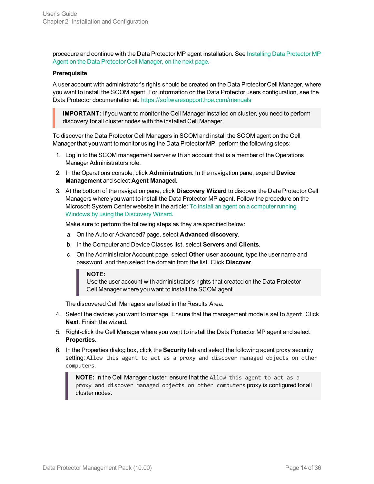procedure and continue with the Data Protector MP agent installation. See Installing Data [Protector](#page-14-0) MP Agent on the Data Protector Cell [Manager,](#page-14-0) on the next page.

#### **Prerequisite**

A user account with administrator's rights should be created on the Data Protector Cell Manager, where you want to install the SCOM agent. For information on the Data Protector users configuration, see the Data Protector documentation at: <https://softwaresupport.hpe.com/manuals>

**IMPORTANT:** If you want to monitor the Cell Manager installed on cluster, you need to perform discovery for all cluster nodes with the installed Cell Manager.

To discover the Data Protector Cell Managers in SCOM and install the SCOM agent on the Cell Manager that you want to monitor using the Data Protector MP, perform the following steps:

- 1. Log in to the SCOM management server with an account that is a member of the Operations Manager Administrators role.
- 2. In the Operations console, click **Administration**. In the navigation pane, expand **Device Management** and select **Agent Managed**.
- 3. At the bottom of the navigation pane, click **Discovery Wizard** to discover the Data Protector Cell Managers where you want to install the Data Protector MP agent. Follow the procedure on the Microsoft System Center website in the article: To install an agent on a [computer](http://technet.microsoft.com/en-us/library/hh230731.aspx) running Windows by using the [Discovery](http://technet.microsoft.com/en-us/library/hh230731.aspx) Wizard.

Make sure to perform the following steps as they are specified below:

- a. On the Auto or Advanced? page, select **Advanced discovery**.
- b. In the Computer and Device Classes list, select **Servers and Clients**.
- c. On the Administrator Account page, select **Other user account**, type the user name and password, and then select the domain from the list. Click **Discover**.

#### **NOTE:**

Use the user account with administrator's rights that created on the Data Protector Cell Manager where you want to install the SCOM agent.

The discovered Cell Managers are listed in the Results Area.

- 4. Select the devices you want to manage. Ensure that the management mode is set to Agent. Click **Next**. Finish the wizard.
- 5. Right-click the Cell Manager where you want to install the Data Protector MP agent and select **Properties**.
- 6. In the Properties dialog box, click the **Security** tab and select the following agent proxy security setting: Allow this agent to act as a proxy and discover managed objects on other computers.

**NOTE:** In the Cell Manager cluster, ensure that the Allow this agent to act as a proxy and discover managed objects on other computers proxy is configured for all cluster nodes.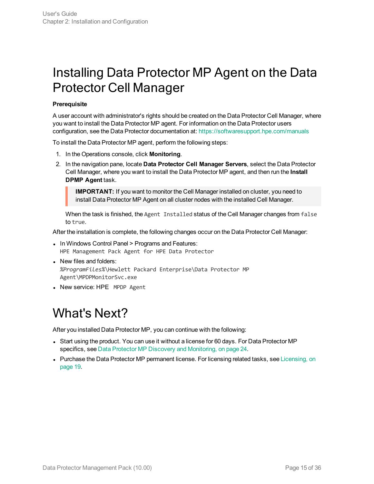### <span id="page-14-0"></span>Installing Data Protector MP Agent on the Data Protector Cell Manager

#### **Prerequisite**

A user account with administrator's rights should be created on the Data Protector Cell Manager, where you want to install the Data Protector MP agent. For information on the Data Protector users configuration, see the Data Protector documentation at: <https://softwaresupport.hpe.com/manuals>

To install the Data Protector MP agent, perform the following steps:

- 1. In the Operations console, click **Monitoring**.
- 2. In the navigation pane, locate **Data Protector Cell Manager Servers**, select the Data Protector Cell Manager, where you want to install the Data Protector MP agent, and then run the **Install DPMP Agent** task.

**IMPORTANT:** If you want to monitor the Cell Manager installed on cluster, you need to install Data Protector MP Agent on all cluster nodes with the installed Cell Manager.

When the task is finished, the Agent Installed status of the Cell Manager changes from false to true.

After the installation is complete, the following changes occur on the Data Protector Cell Manager:

- In Windows Control Panel > Programs and Features: HPE Management Pack Agent for HPE Data Protector
- New files and folders: *%ProgramFiles%*\Hewlett Packard Enterprise\Data Protector MP Agent\MPDPMonitorSvc.exe
- <span id="page-14-1"></span>• New service: HPE MPDP Agent

### What's Next?

After you installed Data Protector MP, you can continue with the following:

- Start using the product. You can use it without a license for 60 days. For Data Protector MP specifics, see Data Protector MP Discovery and [Monitoring,](#page-23-0) on page 24.
- Purchase the Data Protector MP permanent license. For licensing related tasks, see [Licensing,](#page-18-0) on [page 19](#page-18-0).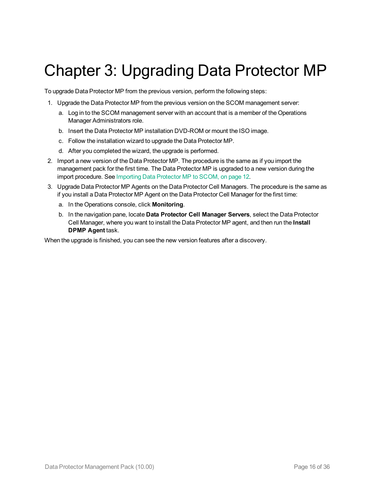# <span id="page-15-0"></span>Chapter 3: Upgrading Data Protector MP

To upgrade Data Protector MP from the previous version, perform the following steps:

- 1. Upgrade the Data Protector MP from the previous version on the SCOM management server:
	- a. Log in to the SCOM management server with an account that is a member of the Operations Manager Administrators role.
	- b. Insert the Data Protector MP installation DVD-ROM or mount the ISO image.
	- c. Follow the installation wizard to upgrade the Data Protector MP.
	- d. After you completed the wizard, the upgrade is performed.
- 2. Import a new version of the Data Protector MP. The procedure is the same as if you import the management pack for the first time. The Data Protector MP is upgraded to a new version during the import procedure. See [Importing](#page-11-1) Data Protector MP to SCOM, on page 12.
- 3. Upgrade Data Protector MP Agents on the Data Protector Cell Managers. The procedure is the same as if you install a Data Protector MP Agent on the Data Protector Cell Manager for the first time:
	- a. In the Operations console, click **Monitoring**.
	- b. In the navigation pane, locate **Data Protector Cell Manager Servers**, select the Data Protector Cell Manager, where you want to install the Data Protector MP agent, and then run the **Install DPMP Agent** task.

When the upgrade is finished, you can see the new version features after a discovery.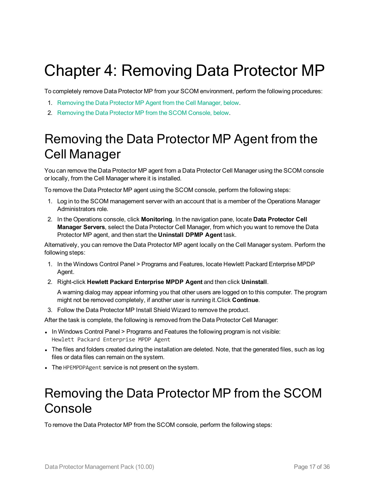# <span id="page-16-0"></span>Chapter 4: Removing Data Protector MP

To completely remove Data Protector MP from your SCOM environment, perform the following procedures:

- <span id="page-16-1"></span>1. [Removing](#page-16-1) the Data Protector MP Agent from the Cell Manager, below.
- 2. [Removing](#page-16-2) the Data Protector MP from the SCOM Console, below.

# Removing the Data Protector MP Agent from the Cell Manager

You can remove the Data Protector MP agent from a Data Protector Cell Manager using the SCOM console or locally, from the Cell Manager where it is installed.

To remove the Data Protector MP agent using the SCOM console, perform the following steps:

- 1. Log in to the SCOM management server with an account that is a member of the Operations Manager Administrators role.
- 2. In the Operations console, click **Monitoring**. In the navigation pane, locate **Data Protector Cell Manager Servers**, select the Data Protector Cell Manager, from which you want to remove the Data Protector MP agent, and then start the **Uninstall DPMP Agent** task.

Alternatively, you can remove the Data Protector MP agent locally on the Cell Manager system. Perform the following steps:

- 1. In the Windows Control Panel > Programs and Features, locate Hewlett Packard Enterprise MPDP Agent.
- 2. Right-click **Hewlett Packard Enterprise MPDP Agent** and then click **Uninstall**.

A warning dialog may appear informing you that other users are logged on to this computer. The program might not be removed completely, if another user is running it.Click **Continue**.

3. Follow the Data Protector MP Install Shield Wizard to remove the product.

After the task is complete, the following is removed from the Data Protector Cell Manager:

- In Windows Control Panel > Programs and Features the following program is not visible: Hewlett Packard Enterprise MPDP Agent
- The files and folders created during the installation are deleted. Note, that the generated files, such as log files or data files can remain on the system.
- <span id="page-16-2"></span>• The HPEMPDPAgent service is not present on the system.

## Removing the Data Protector MP from the SCOM Console

To remove the Data Protector MP from the SCOM console, perform the following steps: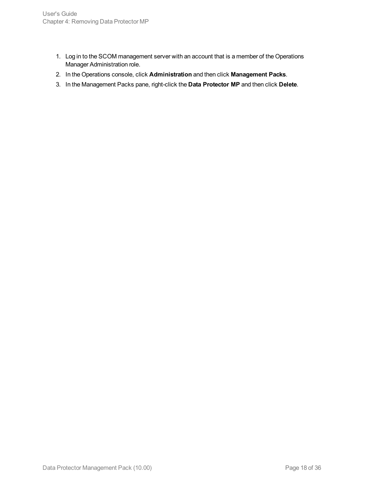- 1. Log in to the SCOM management server with an account that is a member of the Operations Manager Administration role.
- 2. In the Operations console, click **Administration** and then click **Management Packs**.
- 3. In the Management Packs pane, right-click the **Data Protector MP** and then click **Delete**.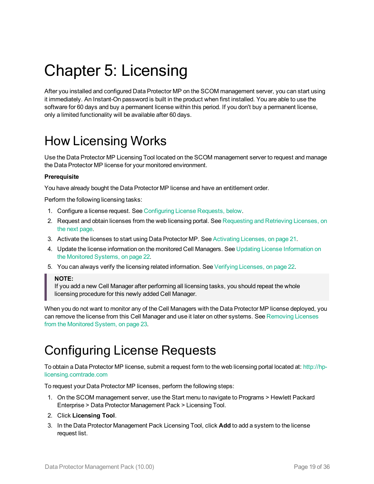# <span id="page-18-0"></span>Chapter 5: Licensing

After you installed and configured Data Protector MP on the SCOM management server, you can start using it immediately. An Instant-On password is built in the product when first installed. You are able to use the software for 60 days and buy a permanent license within this period. If you don't buy a permanent license, only a limited functionality will be available after 60 days.

### <span id="page-18-1"></span>How Licensing Works

Use the Data Protector MP Licensing Tool located on the SCOM management server to request and manage the Data Protector MP license for your monitored environment.

#### **Prerequisite**

You have already bought the Data Protector MP license and have an entitlement order.

Perform the following licensing tasks:

- 1. Configure a license request. See [Configuring](#page-18-2) License Requests, below.
- 2. Request and obtain licenses from the web licensing portal. See [Requesting](#page-19-0) and Retrieving Licenses, on the next [page.](#page-19-0)
- 3. Activate the licenses to start using Data Protector MP. See [Activating](#page-20-0) Licenses, on page 21.
- 4. Update the license information on the monitored Cell Managers. See Updating License [Information](#page-21-0) on the [Monitored](#page-21-0) Systems, on page 22.
- 5. You can always verify the licensing related information. See Verifying [Licenses,](#page-21-1) on page 22.

#### **NOTE:**

If you add a new Cell Manager after performing all licensing tasks, you should repeat the whole licensing procedure for this newly added Cell Manager.

When you do not want to monitor any of the Cell Managers with the Data Protector MP license deployed, you can remove the license from this Cell Manager and use it later on other systems. See [Removing](#page-22-0) Licenses from the [Monitored](#page-22-0) System, on page 23.

# <span id="page-18-2"></span>Configuring License Requests

To obtain a Data Protector MP license, submit a request form to the web licensing portal located at: [http://hp](http://hp-licensing.comtrade.com/)[licensing.comtrade.com](http://hp-licensing.comtrade.com/)

To request your Data Protector MP licenses, perform the following steps:

- 1. On the SCOM management server, use the Start menu to navigate to Programs > Hewlett Packard Enterprise > Data Protector Management Pack > Licensing Tool.
- 2. Click **Licensing Tool**.
- 3. In the Data Protector Management Pack Licensing Tool, click **Add** to add a system to the license request list.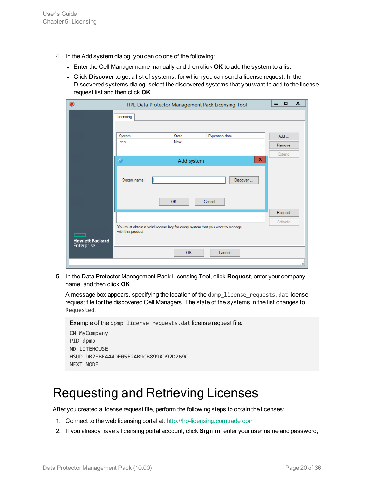- 4. In the Add system dialog, you can do one of the following:
	- **Enter the Cell Manager name manually and then click OK** to add the system to a list.
	- <sup>l</sup> Click **Discover** to get a list of systems, for which you can send a license request. In the Discovered systems dialog, select the discovered systems that you want to add to the license request list and then click **OK**.

| 5                           |                    |            | HPE Data Protector Management Pack Licensing Tool                            | $\mathbf{x}$<br>$\Box$ |
|-----------------------------|--------------------|------------|------------------------------------------------------------------------------|------------------------|
|                             | Licensing          |            |                                                                              |                        |
|                             |                    |            |                                                                              |                        |
|                             | System             | State      | Expiration date                                                              | Add                    |
|                             | ena                | New        |                                                                              | Remove                 |
|                             |                    |            |                                                                              | Extend                 |
|                             | 癖                  | Add system |                                                                              | x                      |
|                             |                    |            |                                                                              |                        |
|                             | System name:       |            | Discover                                                                     |                        |
|                             |                    |            |                                                                              |                        |
|                             |                    | <b>OK</b>  | Cancel                                                                       |                        |
|                             |                    |            |                                                                              | Request                |
|                             |                    |            |                                                                              | Activate               |
|                             | with this product. |            | You must obtain a valid license key for every system that you want to manage |                        |
| -<br><b>Hewlett Packard</b> |                    |            |                                                                              |                        |
| Enterprise                  |                    |            |                                                                              |                        |
|                             |                    | <b>OK</b>  | Cancel                                                                       |                        |
|                             |                    |            |                                                                              | шi                     |

5. In the Data Protector Management Pack Licensing Tool, click **Request**, enter your company name, and then click **OK**.

A message box appears, specifying the location of the dpmp\_license\_requests.dat license request file for the discovered Cell Managers. The state of the systems in the list changes to Requested.

Example of the dpmp\_license\_requests.dat license request file:

```
CN MyCompany
PID dpmp
ND LITEHOUSE
HSUD DB2FBE444DE05E2AB9CB899AD92D269C
NEXT NODE
```
### <span id="page-19-0"></span>Requesting and Retrieving Licenses

After you created a license request file, perform the following steps to obtain the licenses:

- 1. Connect to the web licensing portal at: [http://hp-licensing.comtrade.com](http://hp-licensing.comtrade.com/)
- 2. If you already have a licensing portal account, click **Sign in**, enter your user name and password,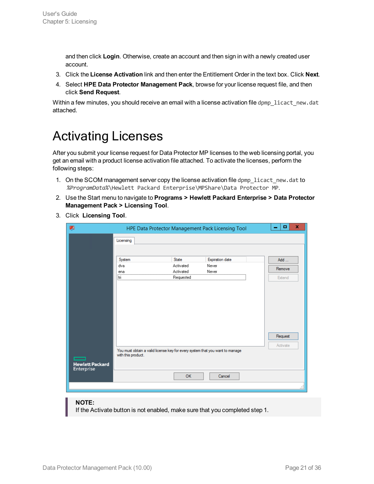and then click **Login**. Otherwise, create an account and then sign in with a newly created user account.

- 3. Click the **License Activation** link and then enter the Entitlement Order in the text box. Click **Next**.
- 4. Select **HPE Data Protector Management Pack**, browse for your license request file, and then click **Send Request**.

Within a few minutes, you should receive an email with a license activation file dpmp licact new.dat attached.

# <span id="page-20-0"></span>Activating Licenses

After you submit your license request for Data Protector MP licenses to the web licensing portal, you get an email with a product license activation file attached. To activate the licenses, perform the following steps:

- 1. On the SCOM management server copy the license activation file dpmp\_licact\_new.dat to *%ProgramData%*\Hewlett Packard Enterprise\MPShare\Data Protector MP.
- 2. Use the Start menu to navigate to **Programs > Hewlett Packard Enterprise > Data Protector Management Pack > Licensing Tool**.
- 3. Click **Licensing Tool**.

| 夣                      |                                                                              |           | HPE Data Protector Management Pack Licensing Tool | x<br>o   |
|------------------------|------------------------------------------------------------------------------|-----------|---------------------------------------------------|----------|
|                        | Licensing                                                                    |           |                                                   |          |
|                        |                                                                              |           |                                                   |          |
|                        | System                                                                       | State     | Expiration date                                   | Add      |
|                        | dva                                                                          | Activated | Never                                             |          |
|                        | ena                                                                          | Activated | Never                                             | Remove   |
|                        | <br>∲tri                                                                     | Requested |                                                   | Extend   |
|                        |                                                                              |           |                                                   |          |
|                        |                                                                              |           |                                                   |          |
|                        |                                                                              |           |                                                   |          |
|                        |                                                                              |           |                                                   |          |
|                        |                                                                              |           |                                                   |          |
|                        |                                                                              |           |                                                   |          |
|                        |                                                                              |           |                                                   |          |
|                        |                                                                              |           |                                                   |          |
|                        |                                                                              |           |                                                   |          |
|                        |                                                                              |           |                                                   | Request  |
|                        |                                                                              |           |                                                   | Activate |
|                        | You must obtain a valid license key for every system that you want to manage |           |                                                   |          |
| <b>Contract</b>        | with this product.                                                           |           |                                                   |          |
| <b>Hewlett Packard</b> |                                                                              |           |                                                   |          |
| Enterprise             |                                                                              |           |                                                   |          |
|                        |                                                                              | OK        | Cancel                                            |          |
|                        |                                                                              |           |                                                   |          |
|                        |                                                                              |           |                                                   | лł       |
|                        |                                                                              |           |                                                   |          |
| <b>NOTE:</b>           |                                                                              |           |                                                   |          |

If the Activate button is not enabled, make sure that you completed step 1.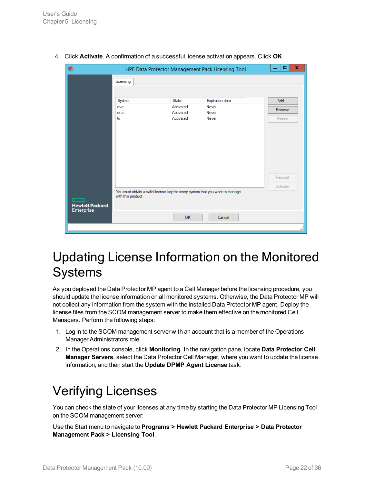| 孁                                         |                    |                                                                              | HPE Data Protector Management Pack Licensing Tool | ۰<br>x              |
|-------------------------------------------|--------------------|------------------------------------------------------------------------------|---------------------------------------------------|---------------------|
|                                           | Licensing          |                                                                              |                                                   |                     |
|                                           | System             | State                                                                        | <b>Expiration date</b>                            | Add                 |
|                                           | dva                | Activated                                                                    | Never                                             |                     |
|                                           | ena                | Activated                                                                    | Never                                             | Remove              |
|                                           | tri                | Activated                                                                    | Never                                             | Extend              |
|                                           |                    | You must obtain a valid license key for every system that you want to manage |                                                   | Request<br>Activate |
| -<br><b>Hewlett Packard</b><br>Enterprise | with this product. |                                                                              |                                                   |                     |
|                                           |                    | <b>OK</b>                                                                    | Cancel                                            |                     |
|                                           |                    |                                                                              |                                                   | Ш                   |

4. Click **Activate**. A confirmation of a successful license activation appears. Click **OK**.

## <span id="page-21-0"></span>Updating License Information on the Monitored Systems

As you deployed the Data Protector MP agent to a Cell Manager before the licensing procedure, you should update the license information on all monitored systems. Otherwise, the Data Protector MP will not collect any information from the system with the installed Data Protector MP agent. Deploy the license files from the SCOM management server to make them effective on the monitored Cell Managers. Perform the following steps:

- 1. Log in to the SCOM management server with an account that is a member of the Operations Manager Administrators role.
- 2. In the Operations console, click **Monitoring**. In the navigation pane, locate **Data Protector Cell Manager Servers**, select the Data Protector Cell Manager, where you want to update the license information, and then start the **Update DPMP Agent License** task.

# <span id="page-21-1"></span>Verifying Licenses

You can check the state of your licenses at any time by starting the Data Protector MP Licensing Tool on the SCOM management server:

Use the Start menu to navigate to **Programs > Hewlett Packard Enterprise > Data Protector Management Pack > Licensing Tool**.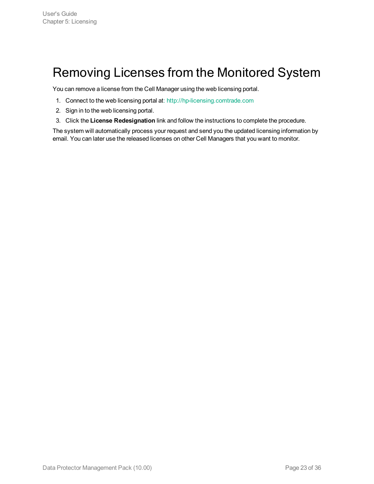## <span id="page-22-0"></span>Removing Licenses from the Monitored System

You can remove a license from the Cell Manager using the web licensing portal.

- 1. Connect to the web licensing portal at: [http://hp-licensing.comtrade.com](http://hp-licensing.comtrade.com/)
- 2. Sign in to the web licensing portal.
- 3. Click the **License Redesignation** link and follow the instructions to complete the procedure.

The system will automatically process your request and send you the updated licensing information by email. You can later use the released licenses on other Cell Managers that you want to monitor.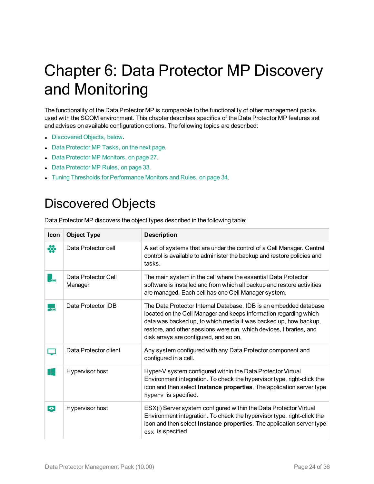# <span id="page-23-0"></span>Chapter 6: Data Protector MP Discovery and Monitoring

The functionality of the Data Protector MP is comparable to the functionality of other management packs used with the SCOM environment. This chapter describes specifics of the Data Protector MP features set and advises on available configuration options. The following topics are described:

- **.** [Discovered](#page-23-1) Objects, below.
- Data [Protector](#page-24-0) MP Tasks, on the next page.
- Data Protector MP [Monitors,](#page-26-0) on page 27.
- Data [Protector](#page-32-0) MP Rules, on page 33.
- <span id="page-23-1"></span>• Tuning Thresholds for [Performance](#page-33-0) Monitors and Rules, on page 34.

### Discovered Objects

Data Protector MP discovers the object types described in the following table:

| <b>Icon</b>              | <b>Object Type</b>             | <b>Description</b>                                                                                                                                                                                                                                                                                                          |
|--------------------------|--------------------------------|-----------------------------------------------------------------------------------------------------------------------------------------------------------------------------------------------------------------------------------------------------------------------------------------------------------------------------|
| ₩                        | Data Protector cell            | A set of systems that are under the control of a Cell Manager. Central<br>control is available to administer the backup and restore policies and<br>tasks.                                                                                                                                                                  |
| <b>T.</b>                | Data Protector Cell<br>Manager | The main system in the cell where the essential Data Protector<br>software is installed and from which all backup and restore activities<br>are managed. Each cell has one Cell Manager system.                                                                                                                             |
| $\overline{\phantom{a}}$ | Data Protector IDB             | The Data Protector Internal Database. IDB is an embedded database<br>located on the Cell Manager and keeps information regarding which<br>data was backed up, to which media it was backed up, how backup,<br>restore, and other sessions were run, which devices, libraries, and<br>disk arrays are configured, and so on. |
|                          | Data Protector client          | Any system configured with any Data Protector component and<br>configured in a cell.                                                                                                                                                                                                                                        |
| ٢Ē                       | Hypervisor host                | Hyper-V system configured within the Data Protector Virtual<br>Environment integration. To check the hypervisor type, right-click the<br>icon and then select Instance properties. The application server type<br>hyperv is specified.                                                                                      |
| $\bullet$                | Hypervisor host                | ESX(i) Server system configured within the Data Protector Virtual<br>Environment integration. To check the hypervisor type, right-click the<br>icon and then select <b>Instance properties</b> . The application server type<br>esx is specified.                                                                           |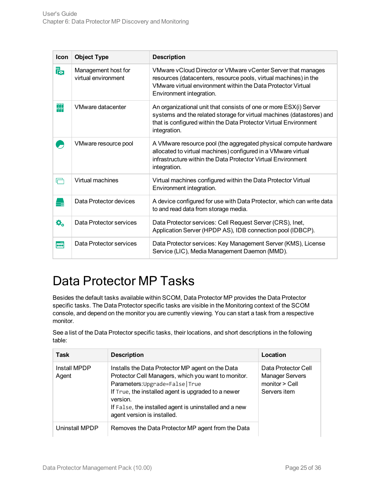| <b>Icon</b>         | <b>Object Type</b>                         | <b>Description</b>                                                                                                                                                                                                             |
|---------------------|--------------------------------------------|--------------------------------------------------------------------------------------------------------------------------------------------------------------------------------------------------------------------------------|
| Ҧ                   | Management host for<br>virtual environment | VMware vCloud Director or VMware vCenter Server that manages<br>resources (datacenters, resource pools, virtual machines) in the<br>VMware virtual environment within the Data Protector Virtual<br>Environment integration.   |
| ∏¦<br>Tii           | VMware datacenter                          | An organizational unit that consists of one or more ESX(i) Server<br>systems and the related storage for virtual machines (datastores) and<br>that is configured within the Data Protector Virtual Environment<br>integration. |
|                     | VMware resource pool                       | A VMware resource pool (the aggregated physical compute hardware<br>allocated to virtual machines) configured in a VMware virtual<br>infrastructure within the Data Protector Virtual Environment<br>integration.              |
| 冖                   | Virtual machines                           | Virtual machines configured within the Data Protector Virtual<br>Environment integration.                                                                                                                                      |
| — <del></del>       | Data Protector devices                     | A device configured for use with Data Protector, which can write data<br>to and read data from storage media.                                                                                                                  |
| $\mathbf{Q}_\alpha$ | Data Protector services                    | Data Protector services: Cell Request Server (CRS), Inet,<br>Application Server (HPDP AS), IDB connection pool (IDBCP).                                                                                                        |
|                     | Data Protector services                    | Data Protector services: Key Management Server (KMS), License<br>Service (LIC), Media Management Daemon (MMD).                                                                                                                 |

# <span id="page-24-0"></span>Data Protector MP Tasks

Besides the default tasks available within SCOM, Data Protector MP provides the Data Protector specific tasks. The Data Protector specific tasks are visible in the Monitoring context of the SCOM console, and depend on the monitor you are currently viewing. You can start a task from a respective monitor.

See a list of the Data Protector specific tasks, their locations, and short descriptions in the following table:

| Task                  | <b>Description</b>                                                                                                                                                                                                                                                                                      | Location                                                                          |
|-----------------------|---------------------------------------------------------------------------------------------------------------------------------------------------------------------------------------------------------------------------------------------------------------------------------------------------------|-----------------------------------------------------------------------------------|
| Install MPDP<br>Agent | Installs the Data Protector MP agent on the Data<br>Protector Cell Managers, which you want to monitor.<br>Parameters: Upgrade=False   True<br>If True, the installed agent is upgraded to a newer<br>version.<br>If False, the installed agent is uninstalled and a new<br>agent version is installed. | Data Protector Cell<br><b>Manager Servers</b><br>monitor $>$ Cell<br>Servers item |
| Uninstall MPDP        | Removes the Data Protector MP agent from the Data                                                                                                                                                                                                                                                       |                                                                                   |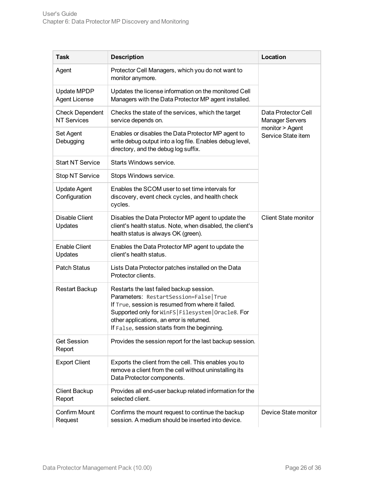| <b>Task</b>                                  | <b>Description</b>                                                                                                                                                                                                                                                                            | Location                                      |
|----------------------------------------------|-----------------------------------------------------------------------------------------------------------------------------------------------------------------------------------------------------------------------------------------------------------------------------------------------|-----------------------------------------------|
| Agent                                        | Protector Cell Managers, which you do not want to<br>monitor anymore.                                                                                                                                                                                                                         |                                               |
| Update MPDP<br><b>Agent License</b>          | Updates the license information on the monitored Cell<br>Managers with the Data Protector MP agent installed.                                                                                                                                                                                 |                                               |
| <b>Check Dependent</b><br><b>NT Services</b> | Checks the state of the services, which the target<br>service depends on.                                                                                                                                                                                                                     | Data Protector Cell<br><b>Manager Servers</b> |
| Set Agent<br>Debugging                       | Enables or disables the Data Protector MP agent to<br>write debug output into a log file. Enables debug level,<br>directory, and the debug log suffix.                                                                                                                                        | monitor > Agent<br>Service State item         |
| <b>Start NT Service</b>                      | Starts Windows service.                                                                                                                                                                                                                                                                       |                                               |
| Stop NT Service                              | Stops Windows service.                                                                                                                                                                                                                                                                        |                                               |
| <b>Update Agent</b><br>Configuration         | Enables the SCOM user to set time intervals for<br>discovery, event check cycles, and health check<br>cycles.                                                                                                                                                                                 |                                               |
| Disable Client<br>Updates                    | Disables the Data Protector MP agent to update the<br>client's health status. Note, when disabled, the client's<br>health status is always OK (green).                                                                                                                                        | <b>Client State monitor</b>                   |
| <b>Enable Client</b><br>Updates              | Enables the Data Protector MP agent to update the<br>client's health status.                                                                                                                                                                                                                  |                                               |
| <b>Patch Status</b>                          | Lists Data Protector patches installed on the Data<br>Protector clients.                                                                                                                                                                                                                      |                                               |
| <b>Restart Backup</b>                        | Restarts the last failed backup session.<br>Parameters: RestartSession=False   True<br>If True, session is resumed from where it failed.<br>Supported only for WinFS   Filesystem   Oracle8. For<br>other applications, an error is returned.<br>If False, session starts from the beginning. |                                               |
| <b>Get Session</b><br>Report                 | Provides the session report for the last backup session.                                                                                                                                                                                                                                      |                                               |
| <b>Export Client</b>                         | Exports the client from the cell. This enables you to<br>remove a client from the cell without uninstalling its<br>Data Protector components.                                                                                                                                                 |                                               |
| <b>Client Backup</b><br>Report               | Provides all end-user backup related information for the<br>selected client.                                                                                                                                                                                                                  |                                               |
| <b>Confirm Mount</b><br>Request              | Confirms the mount request to continue the backup<br>session. A medium should be inserted into device.                                                                                                                                                                                        | Device State monitor                          |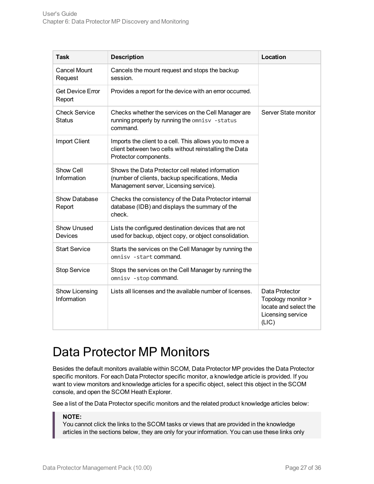| <b>Task</b>                           | <b>Description</b>                                                                                                                              | Location                                                                                    |
|---------------------------------------|-------------------------------------------------------------------------------------------------------------------------------------------------|---------------------------------------------------------------------------------------------|
| <b>Cancel Mount</b><br>Request        | Cancels the mount request and stops the backup<br>session.                                                                                      |                                                                                             |
| <b>Get Device Error</b><br>Report     | Provides a report for the device with an error occurred.                                                                                        |                                                                                             |
| <b>Check Service</b><br><b>Status</b> | Checks whether the services on the Cell Manager are<br>running properly by running the omnisv - status<br>command.                              | Server State monitor                                                                        |
| <b>Import Client</b>                  | Imports the client to a cell. This allows you to move a<br>client between two cells without reinstalling the Data<br>Protector components.      |                                                                                             |
| Show Cell<br>Information              | Shows the Data Protector cell related information<br>(number of clients, backup specifications, Media<br>Management server, Licensing service). |                                                                                             |
| Show Database<br>Report               | Checks the consistency of the Data Protector internal<br>database (IDB) and displays the summary of the<br>check.                               |                                                                                             |
| <b>Show Unused</b><br>Devices         | Lists the configured destination devices that are not<br>used for backup, object copy, or object consolidation.                                 |                                                                                             |
| <b>Start Service</b>                  | Starts the services on the Cell Manager by running the<br>omnisy -start command.                                                                |                                                                                             |
| <b>Stop Service</b>                   | Stops the services on the Cell Manager by running the<br>omnisv - stop command.                                                                 |                                                                                             |
| Show Licensing<br>Information         | Lists all licenses and the available number of licenses.                                                                                        | Data Protector<br>Topology monitor ><br>locate and select the<br>Licensing service<br>(LIC) |

### <span id="page-26-0"></span>Data Protector MP Monitors

Besides the default monitors available within SCOM, Data Protector MP provides the Data Protector specific monitors. For each Data Protector specific monitor, a knowledge article is provided. If you want to view monitors and knowledge articles for a specific object, select this object in the SCOM console, and open the SCOM Heath Explorer.

See a list of the Data Protector specific monitors and the related product knowledge articles below:

#### **NOTE:**

You cannot click the links to the SCOM tasks or views that are provided in the knowledge articles in the sections below, they are only for your information. You can use these links only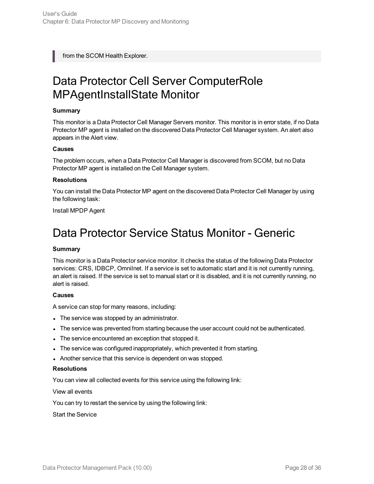<span id="page-27-0"></span>from the SCOM Health Explorer.

### Data Protector Cell Server ComputerRole MPAgentInstallState Monitor

#### **Summary**

This monitor is a Data Protector Cell Manager Servers monitor. This monitor is in error state, if no Data Protector MP agent is installed on the discovered Data Protector Cell Manager system. An alert also appears in the Alert view.

#### **Causes**

The problem occurs, when a Data Protector Cell Manager is discovered from SCOM, but no Data Protector MP agent is installed on the Cell Manager system.

#### **Resolutions**

You can install the Data Protector MP agent on the discovered Data Protector Cell Manager by using the following task:

<span id="page-27-1"></span>Install MPDP Agent

### Data Protector Service Status Monitor - Generic

#### **Summary**

This monitor is a Data Protector service monitor. It checks the status of the following Data Protector services: CRS, IDBCP, OmniInet. If a service is set to automatic start and it is not currently running, an alert is raised. If the service is set to manual start or it is disabled, and it is not currently running, no alert is raised.

#### **Causes**

A service can stop for many reasons, including:

- The service was stopped by an administrator.
- The service was prevented from starting because the user account could not be authenticated.
- The service encountered an exception that stopped it.
- The service was configured inappropriately, which prevented it from starting.
- Another service that this service is dependent on was stopped.

#### **Resolutions**

You can view all collected events for this service using the following link:

View all events

You can try to restart the service by using the following link:

Start the Service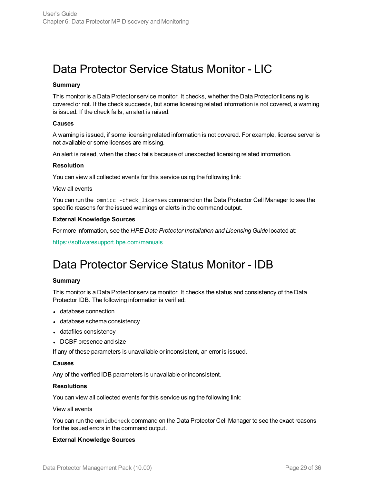### <span id="page-28-0"></span>Data Protector Service Status Monitor - LIC

#### **Summary**

This monitor is a Data Protector service monitor. It checks, whether the Data Protector licensing is covered or not. If the check succeeds, but some licensing related information is not covered, a warning is issued. If the check fails, an alert is raised.

#### **Causes**

A warning is issued, if some licensing related information is not covered. For example, license server is not available or some licenses are missing.

An alert is raised, when the check fails because of unexpected licensing related information.

#### **Resolution**

You can view all collected events for this service using the following link:

#### View all events

You can run the omnicc -check licenses command on the Data Protector Cell Manager to see the specific reasons for the issued warnings or alerts in the command output.

#### **External Knowledge Sources**

For more information, see the *HPE Data Protector Installation and Licensing Guide* located at:

<span id="page-28-1"></span><https://softwaresupport.hpe.com/manuals>

### Data Protector Service Status Monitor - IDB

#### **Summary**

This monitor is a Data Protector service monitor. It checks the status and consistency of the Data Protector IDB. The following information is verified:

- database connection
- database schema consistency
- datafiles consistency
- DCBF presence and size

If any of these parameters is unavailable or inconsistent, an error is issued.

#### **Causes**

Any of the verified IDB parameters is unavailable or inconsistent.

#### **Resolutions**

You can view all collected events for this service using the following link:

View all events

You can run the omnidbcheck command on the Data Protector Cell Manager to see the exact reasons for the issued errors in the command output.

#### **External Knowledge Sources**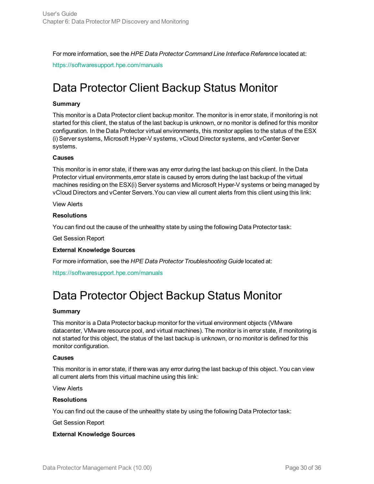For more information, see the *HPE Data Protector Command Line Interface Reference* located at:

<span id="page-29-0"></span><https://softwaresupport.hpe.com/manuals>

### Data Protector Client Backup Status Monitor

#### **Summary**

This monitor is a Data Protector client backup monitor. The monitor is in error state, if monitoring is not started for this client, the status of the last backup is unknown, or no monitor is defined for this monitor configuration. In the Data Protector virtual environments, this monitor applies to the status of the ESX (i) Server systems, Microsoft Hyper-V systems, vCloud Director systems, and vCenter Server systems.

#### **Causes**

This monitor is in error state, if there was any error during the last backup on this client. In the Data Protector virtual environments,error state is caused by errors during the last backup of the virtual machines residing on the ESX(i) Server systems and Microsoft Hyper-V systems or being managed by vCloud Directors and vCenter Servers.You can view all current alerts from this client using this link:

View Alerts

#### **Resolutions**

You can find out the cause of the unhealthy state by using the following Data Protector task:

Get Session Report

#### **External Knowledge Sources**

For more information, see the *HPE Data Protector Troubleshooting Guide* located at:

<span id="page-29-1"></span><https://softwaresupport.hpe.com/manuals>

### Data Protector Object Backup Status Monitor

#### **Summary**

This monitor is a Data Protector backup monitor for the virtual environment objects (VMware datacenter, VMware resource pool, and virtual machines). The monitor is in error state, if monitoring is not started for this object, the status of the last backup is unknown, or no monitor is defined for this monitor configuration.

#### **Causes**

This monitor is in error state, if there was any error during the last backup of this object. You can view all current alerts from this virtual machine using this link:

View Alerts

#### **Resolutions**

You can find out the cause of the unhealthy state by using the following Data Protector task:

Get Session Report

#### **External Knowledge Sources**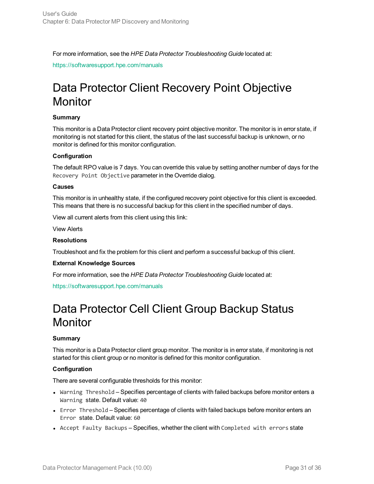For more information, see the *HPE Data Protector Troubleshooting Guide* located at:

<span id="page-30-0"></span><https://softwaresupport.hpe.com/manuals>

### Data Protector Client Recovery Point Objective Monitor

#### **Summary**

This monitor is a Data Protector client recovery point objective monitor. The monitor is in error state, if monitoring is not started for this client, the status of the last successful backup is unknown, or no monitor is defined for this monitor configuration.

#### **Configuration**

The default RPO value is 7 days. You can override this value by setting another number of days for the Recovery Point Objective parameter in the Override dialog.

#### **Causes**

This monitor is in unhealthy state, if the configured recovery point objective for this client is exceeded. This means that there is no successful backup for this client in the specified number of days.

View all current alerts from this client using this link:

View Alerts

#### **Resolutions**

Troubleshoot and fix the problem for this client and perform a successful backup of this client.

#### **External Knowledge Sources**

For more information, see the *HPE Data Protector Troubleshooting Guide* located at:

<span id="page-30-1"></span><https://softwaresupport.hpe.com/manuals>

### Data Protector Cell Client Group Backup Status Monitor

#### **Summary**

This monitor is a Data Protector client group monitor. The monitor is in error state, if monitoring is not started for this client group or no monitor is defined for this monitor configuration.

#### **Configuration**

There are several configurable thresholds for this monitor:

- Warning Threshold Specifies percentage of clients with failed backups before monitor enters a Warning state. Default value: 40
- Error Threshold Specifies percentage of clients with failed backups before monitor enters an Error state. Default value: 60
- Accept Faulty Backups Specifies, whether the client with Completed with errors state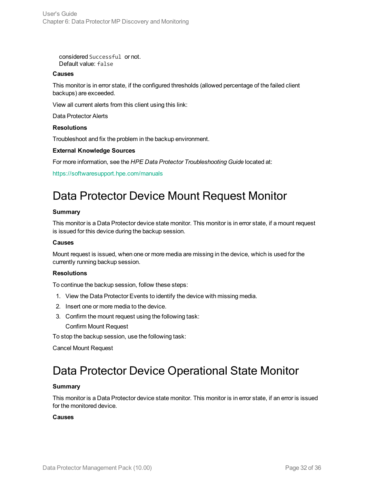considered Successful or not. Default value: false

#### **Causes**

This monitor is in error state, if the configured thresholds (allowed percentage of the failed client backups) are exceeded.

View all current alerts from this client using this link:

Data Protector Alerts

#### **Resolutions**

Troubleshoot and fix the problem in the backup environment.

#### **External Knowledge Sources**

For more information, see the *HPE Data Protector Troubleshooting Guide* located at:

<span id="page-31-0"></span><https://softwaresupport.hpe.com/manuals>

### Data Protector Device Mount Request Monitor

#### **Summary**

This monitor is a Data Protector device state monitor. This monitor is in error state, if a mount request is issued for this device during the backup session.

#### **Causes**

Mount request is issued, when one or more media are missing in the device, which is used for the currently running backup session.

#### **Resolutions**

To continue the backup session, follow these steps:

- 1. View the Data Protector Events to identify the device with missing media.
- 2. Insert one or more media to the device.
- 3. Confirm the mount request using the following task:
	- Confirm Mount Request

To stop the backup session, use the following task:

<span id="page-31-1"></span>Cancel Mount Request

### Data Protector Device Operational State Monitor

#### **Summary**

This monitor is a Data Protector device state monitor. This monitor is in error state, if an error is issued for the monitored device.

#### **Causes**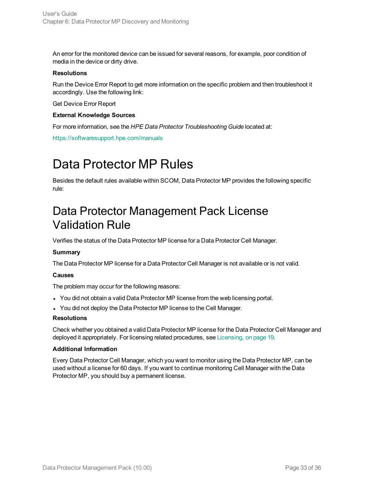An error for the monitored device can be issued for several reasons, for example, poor condition of media in the device or dirty drive.

#### **Resolutions**

Run the Device Error Report to get more information on the specific problem and then troubleshoot it accordingly. Use the following link:

Get Device Error Report

#### **External Knowledge Sources**

For more information, see the *HPE Data Protector Troubleshooting Guide* located at:

<span id="page-32-0"></span><https://softwaresupport.hpe.com/manuals>

# Data Protector MP Rules

Besides the default rules available within SCOM, Data Protector MP provides the following specific rule:

### <span id="page-32-1"></span>Data Protector Management Pack License Validation Rule

Verifies the status of the Data Protector MP license for a Data Protector Cell Manager.

#### **Summary**

The Data Protector MP license for a Data Protector Cell Manager is not available or is not valid.

#### **Causes**

The problem may occur for the following reasons:

- You did not obtain a valid Data Protector MP license from the web licensing portal.
- You did not deploy the Data Protector MP license to the Cell Manager.

#### **Resolutions**

Check whether you obtained a valid Data Protector MP license for the Data Protector Cell Manager and deployed it appropriately. For licensing related procedures, see [Licensing,](#page-18-0) on page 19.

#### **Additional Information**

Every Data Protector Cell Manager, which you want to monitor using the Data Protector MP, can be used without a license for 60 days. If you want to continue monitoring Cell Manager with the Data Protector MP, you should buy a permanent license.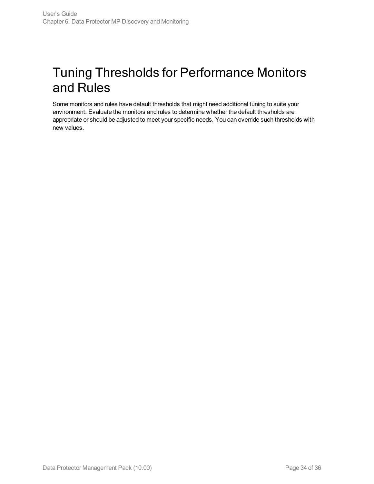## <span id="page-33-0"></span>Tuning Thresholds for Performance Monitors and Rules

Some monitors and rules have default thresholds that might need additional tuning to suite your environment. Evaluate the monitors and rules to determine whether the default thresholds are appropriate or should be adjusted to meet your specific needs. You can override such thresholds with new values.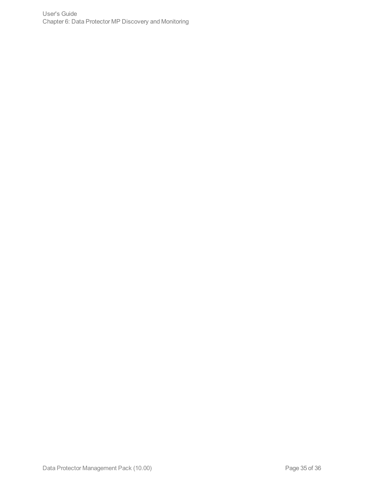User's Guide Chapter 6: Data Protector MP Discovery and Monitoring